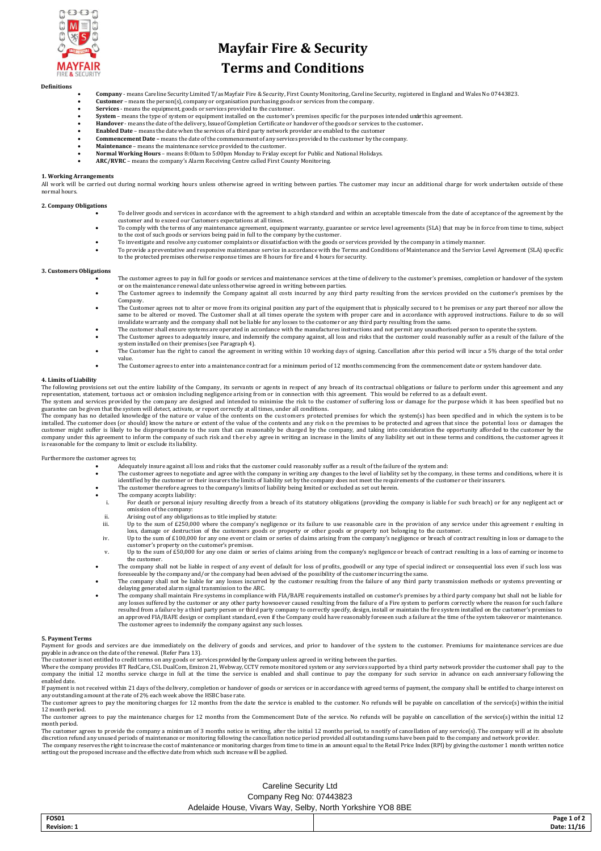

# **Mayfair Fire & Security**

# **Terms and Conditions**

#### **Definitions**

- **Company**  means Careline Security Limited T/as Mayfair Fire & Security, First County Monitoring, Careline Security, registered in England and Wales No 07443823.
- **Customer** means the person(s), company or organisation purchasing goods or services from the company.
- 
- Services means the equipment, goods or services provided to the customer.<br>System means the type of system or equipment installed on the customer's premises specific for the purposes intended underthis agreement.
- **Handover** means the date of the delivery, Issue of Completion Certificate or handover of the goods or services to the customer**.**
- **Enabled Date** means the date when the services of a third party network provider are enabled to the customer **Commencement Date –** means the date of the commencement of any services provided to the customer by the company.
- 
- **Maintenance** means the maintenance service provided to the customer. **Normal Working Hours** means 8:00am to 5:00pm Monday to Friday except for Public and National Holidays.
- **ARC/RVRC**  means the company's Alarm Receiving Centre called First County Monitoring.

#### **1. Working Arrangements**

All work will be carried out during normal working hours unless unless otherwise agreed in writing between parties. The customer may incur an additional charge for work undertaken outside of these normal hours.

#### **2. Company Obligations**

- To deliver goods and services in accordance with the agreement to a high standard and within an acceptable timescale from the date of acceptance of the agreement by the customer and to exceed our Customers expectations at all times.
- To comply with the terms of any maintenance agreement, equipment warranty, guarantee or service level agreements (SLA) that may be in force from time to time, subject to the cost of such goods or services being paid in ful
- To investigate and resolve any customer complaints or dissatisfaction with the goods or services provided by the company in a timely manner.
- To provide a preventative and responsive maintenance service in accordance with the Terms and Conditions of Maintenance and the Service Level Agreement (SLA) specific to the protected premises otherwise response times are 8 hours for fire and 4 hours for security.

#### **3. Customers Obligations**

- The customer agrees to pay in full for goods or services and maintenance services at the time of delivery to the customer's premises, completion or handover of the system or on the maintenance renewal date unless otherwise agreed in writing between parties.
- The Customer agrees to indemnify the Company against all costs incurred by any third party resulting from the services provided on the customer's premises by the Company.
- The Customer agrees not to alter or move from its original position any part of the equipment that is physically secured to t he premises or any part thereof nor allow the same to be altered or moved. The Customer shall at all times operate the system with proper care and in accordance with approved instructions. Failure to do so will invalidate warranty and the company shall not be included
- 
- The Customer agrees to adequately insure, and indemnify the company against, all loss and risks that the customer could reasonably suffer as a result of the failure of the<br>system installed on their premises (see Paragrap The Customer has the right to cancel the agreement in writing within 10 working days of signing. Cancellation after this period will incur a 5% charge of the total order
- value. The Customer agrees to enter into a maintenance contract for a minimum period of 12 months commencing from the commencement date or system handover date.

#### **4. Limits of Liability**

The following provisions set out the entire liability of the Company, its servants or agents in respect of any breach of its contractual obligations or failure to perform under this agreement and any representation, statement, tortuous act or omission including negligence arising from or in connection with this agreement. This would be referred to as a default event. The system and services provided by the company are designed and intended to minimise the risk to the customer of suffering loss or damage for the purpose which it has been specified but no

guarantee can be given that the system will detect, activate, or report correctly at all times, under all conditions.<br>The company has no detailed knowledge of the nature or value of the contents on the customers protected customer might suffer is likely to be disproportionate to the sum that can reasonably be charged by the company, and taking into consideration the opportunity afforded to the customer by the<br>company under this agreement to is reasonable for the company to limit or exclude its liability.

Furthermore the customer agrees to;

- Adequately insure against all loss and risks that the customer could reasonably suffer as a result of the failure of the system and:
- The customer agrees to negotiate and agree with the company in writing any changes to the level of liability set by the company, in these terms and conditions, where it is<br>identified by the customer or their insurers the l
- The customer therefore agrees to the company's limits of liability being limited or excluded as set out herein.
- 
- The company accepts liability:<br>i. For death or personal injury resulting directly from a breach of its statutory obligations (providing the company is liable for such breach) or for any negligent act or omission of the company: ii. Arising out of any obligations as to title implied by statute:
	-
- iii. Up to the sum of £250,000 where the company's negligence or its failure to use reasonable care in the provision of any service under this agreement resulting in<br>loss, damage or destruction of the customers goods or pr
- customer's property on the customer's premises.
- v. Up to the sum of £50,000 for any one claim or series of claims arising from the company's negligence or breach of contract resulting in a loss of earning or income to the customer.
- The company shall not be liable in respect of any event of default for loss of profits, goodwill or any type of special indirect or consequential loss even if such loss was foreseeable by the company and/or the company had been advised of the possibility of the customer incurring the same.<br>The company shall not be liable for any losses incurred by the customer resulting from the failure of an
- delaying generated alarm signal transmission to the ARC.
- The company shall maintain Fire systems in compliance with FIA/BAFE requirements installed on customer's premises by a third party company but shall not be liable for any losses suffered by the customer or any other party howsoever caused resulting from the failure of a Fire system to perform correctly where the reason for such failure<br>resulted from a failure by a third party person or an approved FIA/BAFE design or compliant standard, even if the Company could have reasonably foreseen such a failure at the time of the system takeover or maintenance.<br>The customer agrees to indemnify the company against a

### **5. Payment Terms**

Payment for goods and services are due immediately on the delivery of goods and services, and prior to handover of the system to the customer. Premiums for maintenance services are due payable in advance on the date of the renewal. (Refer Para 13).

The customer is not entitled to credit terms on any goods or services provided by the Company unless agreed in writing between the parties.<br>Where the company provides BT RedCare, CSL DualCom, Emizon Emizon 21, Webway, CCTV company the initial 12 months service charge in full at the time the service is enabled and shall continue to pay the company for such service in advance on each anniversary following the enabled date.

If payment is not received within 21 days of the delivery, completion or handover of goods or services or in accordance with agreed terms of payment, the company shall be entitled to charge interest on<br>any outstanding amou

The customer agrees to pay the monitoring charges for 12 months from the date the service is enabled to the customer. No refunds will be payable on cancellation of the service(s) within the initial 12 month period.

The customer agrees to pay the maintenance charges for 12 months from the Commencement Date of the service. No refunds will be payable on cancellation of the service(s) within the initial 12 month period.

The customer agrees to provide the company a minimum of 3 months notice in writing, after the initial 12 months period, to nnotify of cancellation of any service(s). The company will at its absolute discretion refund any unused periods of maintenance or monitoring following the cancellation notice period provided all outstanding sums have been paid to the company and network provider. The company reserves the right to increase the cost of maintenance or monitoring charges from time to time in an amount equal to the Retail Price Index (RPI) by giving the customer 1 month written notice<br>setting out the pr

# Careline Security Ltd Company Reg No: 07443823 Adelaide House, Vivars Way, Selby, North Yorkshire YO8 8BE